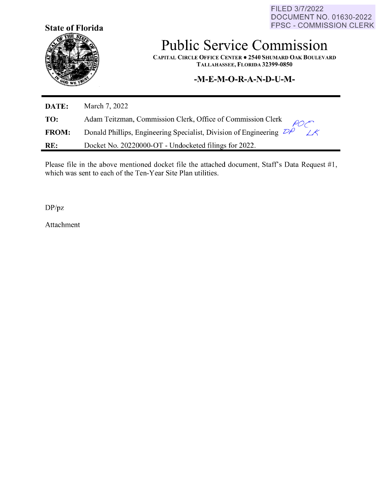FILED 3/7/2022 DOCUMENT NO. 01630-2022 FPSC - COMMISSION CLERK



# **Public Service Commission**

**CAPITAL CIRCLE OFFICE CENTER• 2540 SHUMARD OAK BOULEVARD TALLAHASSEE, FLORIDA 32399-0850** 

## **-M-E-M-O-R-A-N-D-U-M-**

| DATE:        | March 7, 2022                                                                      |
|--------------|------------------------------------------------------------------------------------|
| TO:          | Adam Teitzman, Commission Clerk, Office of Commission Clerk $\rho_{\text{O}}$      |
| <b>FROM:</b> | Donald Phillips, Engineering Specialist, Division of Engineering $\mathcal{D}\rho$ |
| RE:          | Docket No. 20220000-OT - Undocketed filings for 2022.                              |

Please file in the above mentioned docket file the attached document, Staff's Data Request #1, which was sent to each of the Ten-Year Site Plan utilities.

DP/pz

Attachment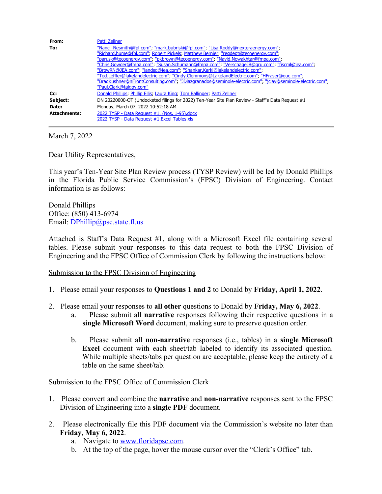| From:               | Patti Zellner                                                                                             |
|---------------------|-----------------------------------------------------------------------------------------------------------|
| To:                 | "Nanci_Nesmith@fpl.com"; "mark.bubriski@fpl.com"; "Lisa.Roddy@nexteraenergy.com";                         |
|                     | "Richard.hume@fpl.com", Robert Pickels, Matthew Bernier, "regdept@tecoenergy.com",                        |
|                     | "parusk@tecoenergy.com"; "pkbrown@tecoenergy.com"; "Navid.Nowakhtar@fmpa.com";                            |
|                     | "Chris.Gowder@fmpa.com"; "Susan.Schumann@fmpa.com"; "VerschageJB@gru.com"; "fiscml@jea.com";              |
|                     | "BrowRN@JEA.com", "landsq@jea.com", "Shankar.Karki@lakelandelectric.com",                                 |
|                     | "Ted.Leffler@lakelandelectric.com", "Cindy.Clemmons@LakelandElectric.com", "HFraser@ouc.com",             |
|                     | "BradKushner@nFrontConsulting.com"; "JDiazgranados@seminole-electric.com"; "jclay@seminole-electric.com"; |
|                     | "Paul.Clark@talgov.com"                                                                                   |
| Cc:                 | Donald Phillips; Phillip Ellis; Laura King; Tom Ballinger; Patti Zellner                                  |
| Subject:            | DN 20220000-OT (Undocketed filings for 2022) Ten-Year Site Plan Review - Staff's Data Request #1          |
| Date:               | Monday, March 07, 2022 10:52:18 AM                                                                        |
| <b>Attachments:</b> | 2022 TYSP - Data Request #1, (Nos. 1-95).docx                                                             |
|                     | 2022 TYSP - Data Request #1. Excel Tables, xls                                                            |

March 7, 2022

Dear Utility Representatives,

This year's Ten-Year Site Plan Review process (TYSP Review) will be led by Donald Phillips in the Florida Public Service Commission's (FPSC) Division of Engineering. Contact information is as follows:

Donald Phillips Office: (850) 413-6974 Email: [DPhillip@psc.state.fl.us](mailto:DPhillip@psc.state.fl.us)

Attached is Staff's Data Request #1, along with a Microsoft Excel file containing several tables. Please submit your responses to this data request to both the FPSC Division of Engineering and the FPSC Office of Commission Clerk by following the instructions below:

#### Submission to the FPSC Division of Engineering

- 1. Please email your responses to **Questions 1 and 2** to Donald by **Friday, April 1, 2022**.
- 2. Please email your responses to **all other** questions to Donald by **Friday, May 6, 2022**.
	- a. Please submit all **narrative** responses following their respective questions in a **single Microsoft Word** document, making sure to preserve question order.
	- b. Please submit all **non-narrative** responses (i.e., tables) in a **single Microsoft Excel** document with each sheet/tab labeled to identify its associated question. While multiple sheets/tabs per question are acceptable, please keep the entirety of a table on the same sheet/tab.

#### Submission to the FPSC Office of Commission Clerk

- 1. Please convert and combine the **narrative** and **non-narrative** responses sent to the FPSC Division of Engineering into a **single PDF** document.
- 2. Please electronically file this PDF document via the Commission's website no later than **Friday, May 6, 2022**.
	- a. Navigate to [www.floridapsc.com.](http://www.floridapsc.com/)
	- b. At the top of the page, hover the mouse cursor over the "Clerk's Office" tab.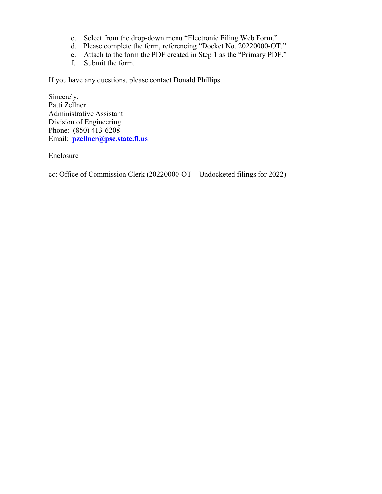- c. Select from the drop-down menu "Electronic Filing Web Form."
- d. Please complete the form, referencing "Docket No. 20220000-OT."
- e. Attach to the form the PDF created in Step 1 as the "Primary PDF."
- f. Submit the form.

If you have any questions, please contact Donald Phillips.

Sincerely, Patti Zellner Administrative Assistant Division of Engineering Phone: (850) 413-6208 Email: **[pzellner@psc.state.fl.us](mailto:pzellner@psc.state.fl.us)**

Enclosure

cc: Office of Commission Clerk (20220000-OT – Undocketed filings for 2022)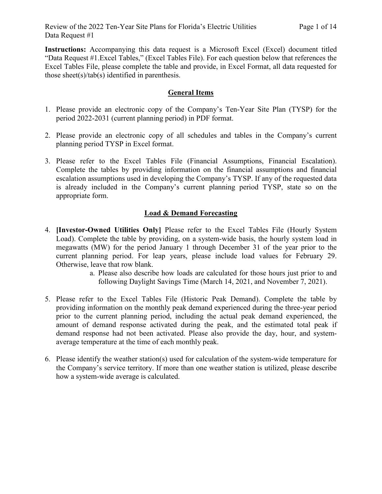**Instructions:** Accompanying this data request is a Microsoft Excel (Excel) document titled "Data Request #1.Excel Tables," (Excel Tables File). For each question below that references the Excel Tables File, please complete the table and provide, in Excel Format, all data requested for those sheet(s)/tab(s) identified in parenthesis.

#### **General Items**

- 1. Please provide an electronic copy of the Company's Ten-Year Site Plan (TYSP) for the period 2022-2031 (current planning period) in PDF format.
- 2. Please provide an electronic copy of all schedules and tables in the Company's current planning period TYSP in Excel format.
- 3. Please refer to the Excel Tables File (Financial Assumptions, Financial Escalation). Complete the tables by providing information on the financial assumptions and financial escalation assumptions used in developing the Company's TYSP. If any of the requested data is already included in the Company's current planning period TYSP, state so on the appropriate form.

#### **Load & Demand Forecasting**

- 4. **[Investor-Owned Utilities Only]** Please refer to the Excel Tables File (Hourly System Load). Complete the table by providing, on a system-wide basis, the hourly system load in megawatts (MW) for the period January 1 through December 31 of the year prior to the current planning period. For leap years, please include load values for February 29. Otherwise, leave that row blank.
	- a. Please also describe how loads are calculated for those hours just prior to and following Daylight Savings Time (March 14, 2021, and November 7, 2021).
- 5. Please refer to the Excel Tables File (Historic Peak Demand). Complete the table by providing information on the monthly peak demand experienced during the three-year period prior to the current planning period, including the actual peak demand experienced, the amount of demand response activated during the peak, and the estimated total peak if demand response had not been activated. Please also provide the day, hour, and systemaverage temperature at the time of each monthly peak.
- 6. Please identify the weather station(s) used for calculation of the system-wide temperature for the Company's service territory. If more than one weather station is utilized, please describe how a system-wide average is calculated.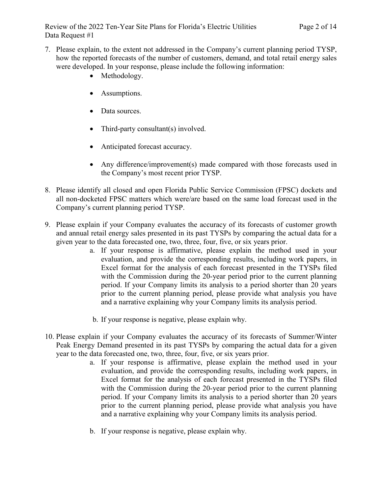- 7. Please explain, to the extent not addressed in the Company's current planning period TYSP, how the reported forecasts of the number of customers, demand, and total retail energy sales were developed. In your response, please include the following information:
	- Methodology.
	- Assumptions.
	- Data sources.
	- Third-party consultant(s) involved.
	- Anticipated forecast accuracy.
	- Any difference/improvement(s) made compared with those forecasts used in the Company's most recent prior TYSP.
- 8. Please identify all closed and open Florida Public Service Commission (FPSC) dockets and all non-docketed FPSC matters which were/are based on the same load forecast used in the Company's current planning period TYSP.
- 9. Please explain if your Company evaluates the accuracy of its forecasts of customer growth and annual retail energy sales presented in its past TYSPs by comparing the actual data for a given year to the data forecasted one, two, three, four, five, or six years prior.
	- a. If your response is affirmative, please explain the method used in your evaluation, and provide the corresponding results, including work papers, in Excel format for the analysis of each forecast presented in the TYSPs filed with the Commission during the 20-year period prior to the current planning period. If your Company limits its analysis to a period shorter than 20 years prior to the current planning period, please provide what analysis you have and a narrative explaining why your Company limits its analysis period.
	- b. If your response is negative, please explain why.
- 10. Please explain if your Company evaluates the accuracy of its forecasts of Summer/Winter Peak Energy Demand presented in its past TYSPs by comparing the actual data for a given year to the data forecasted one, two, three, four, five, or six years prior.
	- a. If your response is affirmative, please explain the method used in your evaluation, and provide the corresponding results, including work papers, in Excel format for the analysis of each forecast presented in the TYSPs filed with the Commission during the 20-year period prior to the current planning period. If your Company limits its analysis to a period shorter than 20 years prior to the current planning period, please provide what analysis you have and a narrative explaining why your Company limits its analysis period.
	- b. If your response is negative, please explain why.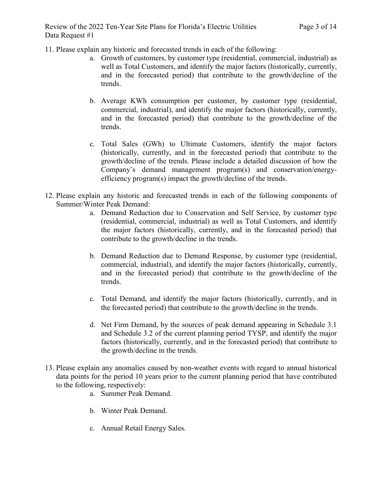11. Please explain any historic and forecasted trends in each of the following:

- a. Growth of customers, by customer type (residential, commercial, industrial) as well as Total Customers, and identify the major factors (historically, currently, and in the forecasted period) that contribute to the growth/decline of the trends.
- b. Average KWh consumption per customer, by customer type (residential, commercial, industrial), and identify the major factors (historically, currently, and in the forecasted period) that contribute to the growth/decline of the trends.
- c. Total Sales (GWh) to Ultimate Customers, identify the major factors (historically, currently, and in the forecasted period) that contribute to the growth/decline of the trends. Please include a detailed discussion of how the Company's demand management program(s) and conservation/energyefficiency program(s) impact the growth/decline of the trends.
- 12. Please explain any historic and forecasted trends in each of the following components of Summer/Winter Peak Demand:
	- a. Demand Reduction due to Conservation and Self Service, by customer type (residential, commercial, industrial) as well as Total Customers, and identify the major factors (historically, currently, and in the forecasted period) that contribute to the growth/decline in the trends.
	- b. Demand Reduction due to Demand Response, by customer type (residential, commercial, industrial), and identify the major factors (historically, currently, and in the forecasted period) that contribute to the growth/decline of the trends.
	- c. Total Demand, and identify the major factors (historically, currently, and in the forecasted period) that contribute to the growth/decline in the trends.
	- d. Net Firm Demand, by the sources of peak demand appearing in Schedule 3.1 and Schedule 3.2 of the current planning period TYSP, and identify the major factors (historically, currently, and in the forecasted period) that contribute to the growth/decline in the trends.
- 13. Please explain any anomalies caused by non-weather events with regard to annual historical data points for the period 10 years prior to the current planning period that have contributed to the following, respectively:
	- a. Summer Peak Demand.
	- b. Winter Peak Demand.
	- c. Annual Retail Energy Sales.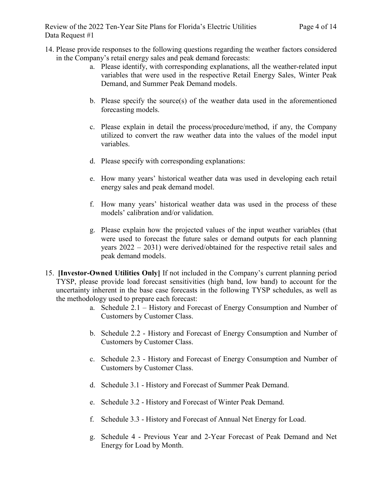- 14. Please provide responses to the following questions regarding the weather factors considered in the Company's retail energy sales and peak demand forecasts:
	- a. Please identify, with corresponding explanations, all the weather-related input variables that were used in the respective Retail Energy Sales, Winter Peak Demand, and Summer Peak Demand models.
	- b. Please specify the source(s) of the weather data used in the aforementioned forecasting models.
	- c. Please explain in detail the process/procedure/method, if any, the Company utilized to convert the raw weather data into the values of the model input variables.
	- d. Please specify with corresponding explanations:
	- e. How many years' historical weather data was used in developing each retail energy sales and peak demand model.
	- f. How many years' historical weather data was used in the process of these models' calibration and/or validation.
	- g. Please explain how the projected values of the input weather variables (that were used to forecast the future sales or demand outputs for each planning years 2022 – 2031) were derived/obtained for the respective retail sales and peak demand models.
- 15. **[Investor-Owned Utilities Only]** If not included in the Company's current planning period TYSP, please provide load forecast sensitivities (high band, low band) to account for the uncertainty inherent in the base case forecasts in the following TYSP schedules, as well as the methodology used to prepare each forecast:
	- a. Schedule 2.1 History and Forecast of Energy Consumption and Number of Customers by Customer Class.
	- b. Schedule 2.2 History and Forecast of Energy Consumption and Number of Customers by Customer Class.
	- c. Schedule 2.3 History and Forecast of Energy Consumption and Number of Customers by Customer Class.
	- d. Schedule 3.1 History and Forecast of Summer Peak Demand.
	- e. Schedule 3.2 History and Forecast of Winter Peak Demand.
	- f. Schedule 3.3 History and Forecast of Annual Net Energy for Load.
	- g. Schedule 4 Previous Year and 2-Year Forecast of Peak Demand and Net Energy for Load by Month.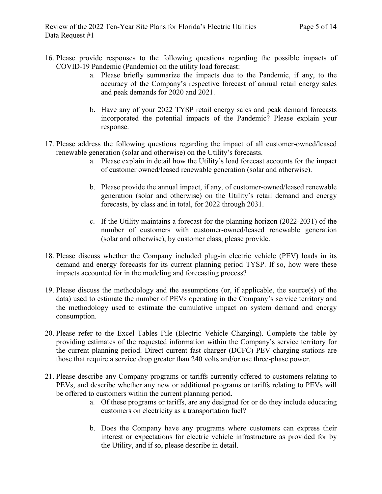- 16. Please provide responses to the following questions regarding the possible impacts of COVID-19 Pandemic (Pandemic) on the utility load forecast:
	- a. Please briefly summarize the impacts due to the Pandemic, if any, to the accuracy of the Company's respective forecast of annual retail energy sales and peak demands for 2020 and 2021.
	- b. Have any of your 2022 TYSP retail energy sales and peak demand forecasts incorporated the potential impacts of the Pandemic? Please explain your response.
- 17. Please address the following questions regarding the impact of all customer-owned/leased renewable generation (solar and otherwise) on the Utility's forecasts.
	- a. Please explain in detail how the Utility's load forecast accounts for the impact of customer owned/leased renewable generation (solar and otherwise).
	- b. Please provide the annual impact, if any, of customer-owned/leased renewable generation (solar and otherwise) on the Utility's retail demand and energy forecasts, by class and in total, for 2022 through 2031.
	- c. If the Utility maintains a forecast for the planning horizon (2022-2031) of the number of customers with customer-owned/leased renewable generation (solar and otherwise), by customer class, please provide.
- 18. Please discuss whether the Company included plug-in electric vehicle (PEV) loads in its demand and energy forecasts for its current planning period TYSP. If so, how were these impacts accounted for in the modeling and forecasting process?
- 19. Please discuss the methodology and the assumptions (or, if applicable, the source(s) of the data) used to estimate the number of PEVs operating in the Company's service territory and the methodology used to estimate the cumulative impact on system demand and energy consumption.
- 20. Please refer to the Excel Tables File (Electric Vehicle Charging). Complete the table by providing estimates of the requested information within the Company's service territory for the current planning period. Direct current fast charger (DCFC) PEV charging stations are those that require a service drop greater than 240 volts and/or use three-phase power.
- 21. Please describe any Company programs or tariffs currently offered to customers relating to PEVs, and describe whether any new or additional programs or tariffs relating to PEVs will be offered to customers within the current planning period.
	- a. Of these programs or tariffs, are any designed for or do they include educating customers on electricity as a transportation fuel?
	- b. Does the Company have any programs where customers can express their interest or expectations for electric vehicle infrastructure as provided for by the Utility, and if so, please describe in detail.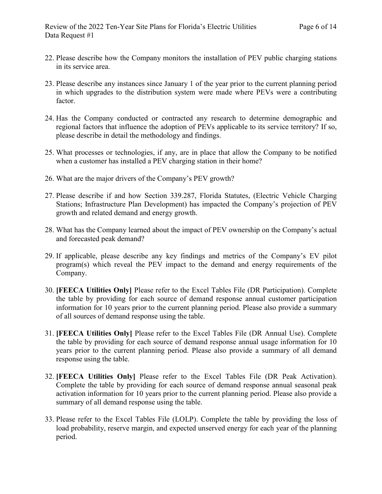- 22. Please describe how the Company monitors the installation of PEV public charging stations in its service area.
- 23. Please describe any instances since January 1 of the year prior to the current planning period in which upgrades to the distribution system were made where PEVs were a contributing factor.
- 24. Has the Company conducted or contracted any research to determine demographic and regional factors that influence the adoption of PEVs applicable to its service territory? If so, please describe in detail the methodology and findings.
- 25. What processes or technologies, if any, are in place that allow the Company to be notified when a customer has installed a PEV charging station in their home?
- 26. What are the major drivers of the Company's PEV growth?
- 27. Please describe if and how Section 339.287, Florida Statutes, (Electric Vehicle Charging Stations; Infrastructure Plan Development) has impacted the Company's projection of PEV growth and related demand and energy growth.
- 28. What has the Company learned about the impact of PEV ownership on the Company's actual and forecasted peak demand?
- 29. If applicable, please describe any key findings and metrics of the Company's EV pilot program(s) which reveal the PEV impact to the demand and energy requirements of the Company.
- 30. **[FEECA Utilities Only]** Please refer to the Excel Tables File (DR Participation). Complete the table by providing for each source of demand response annual customer participation information for 10 years prior to the current planning period. Please also provide a summary of all sources of demand response using the table.
- 31. **[FEECA Utilities Only]** Please refer to the Excel Tables File (DR Annual Use). Complete the table by providing for each source of demand response annual usage information for 10 years prior to the current planning period. Please also provide a summary of all demand response using the table.
- 32. **[FEECA Utilities Only]** Please refer to the Excel Tables File (DR Peak Activation). Complete the table by providing for each source of demand response annual seasonal peak activation information for 10 years prior to the current planning period. Please also provide a summary of all demand response using the table.
- 33. Please refer to the Excel Tables File (LOLP). Complete the table by providing the loss of load probability, reserve margin, and expected unserved energy for each year of the planning period.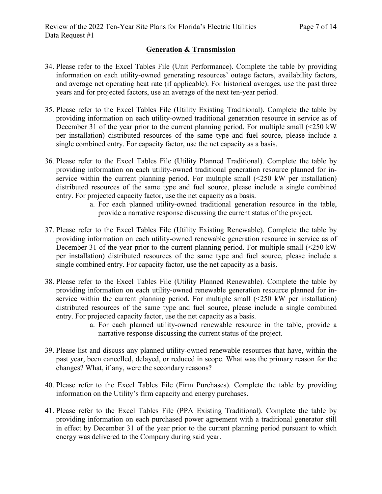#### **Generation & Transmission**

- 34. Please refer to the Excel Tables File (Unit Performance). Complete the table by providing information on each utility-owned generating resources' outage factors, availability factors, and average net operating heat rate (if applicable). For historical averages, use the past three years and for projected factors, use an average of the next ten-year period.
- 35. Please refer to the Excel Tables File (Utility Existing Traditional). Complete the table by providing information on each utility-owned traditional generation resource in service as of December 31 of the year prior to the current planning period. For multiple small (<250 kW per installation) distributed resources of the same type and fuel source, please include a single combined entry. For capacity factor, use the net capacity as a basis.
- 36. Please refer to the Excel Tables File (Utility Planned Traditional). Complete the table by providing information on each utility-owned traditional generation resource planned for inservice within the current planning period. For multiple small  $(\leq 250 \text{ kW})$  per installation) distributed resources of the same type and fuel source, please include a single combined entry. For projected capacity factor, use the net capacity as a basis.
	- a. For each planned utility-owned traditional generation resource in the table, provide a narrative response discussing the current status of the project.
- 37. Please refer to the Excel Tables File (Utility Existing Renewable). Complete the table by providing information on each utility-owned renewable generation resource in service as of December 31 of the year prior to the current planning period. For multiple small (<250 kW per installation) distributed resources of the same type and fuel source, please include a single combined entry. For capacity factor, use the net capacity as a basis.
- 38. Please refer to the Excel Tables File (Utility Planned Renewable). Complete the table by providing information on each utility-owned renewable generation resource planned for inservice within the current planning period. For multiple small  $(\leq 250 \text{ kW})$  per installation) distributed resources of the same type and fuel source, please include a single combined entry. For projected capacity factor, use the net capacity as a basis.
	- a. For each planned utility-owned renewable resource in the table, provide a narrative response discussing the current status of the project.
- 39. Please list and discuss any planned utility-owned renewable resources that have, within the past year, been cancelled, delayed, or reduced in scope. What was the primary reason for the changes? What, if any, were the secondary reasons?
- 40. Please refer to the Excel Tables File (Firm Purchases). Complete the table by providing information on the Utility's firm capacity and energy purchases.
- 41. Please refer to the Excel Tables File (PPA Existing Traditional). Complete the table by providing information on each purchased power agreement with a traditional generator still in effect by December 31 of the year prior to the current planning period pursuant to which energy was delivered to the Company during said year.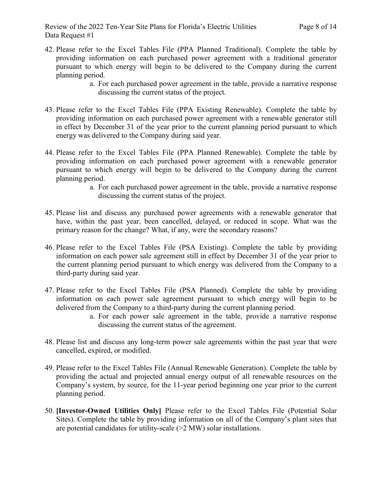- 42. Please refer to the Excel Tables File (PPA Planned Traditional). Complete the table by providing information on each purchased power agreement with a traditional generator pursuant to which energy will begin to be delivered to the Company during the current planning period.
	- a. For each purchased power agreement in the table, provide a narrative response discussing the current status of the project.
- 43. Please refer to the Excel Tables File (PPA Existing Renewable). Complete the table by providing information on each purchased power agreement with a renewable generator still in effect by December 31 of the year prior to the current planning period pursuant to which energy was delivered to the Company during said year.
- 44. Please refer to the Excel Tables File (PPA Planned Renewable). Complete the table by providing information on each purchased power agreement with a renewable generator pursuant to which energy will begin to be delivered to the Company during the current planning period.
	- a. For each purchased power agreement in the table, provide a narrative response discussing the current status of the project.
- 45. Please list and discuss any purchased power agreements with a renewable generator that have, within the past year, been cancelled, delayed, or reduced in scope. What was the primary reason for the change? What, if any, were the secondary reasons?
- 46. Please refer to the Excel Tables File (PSA Existing). Complete the table by providing information on each power sale agreement still in effect by December 31 of the year prior to the current planning period pursuant to which energy was delivered from the Company to a third-party during said year.
- 47. Please refer to the Excel Tables File (PSA Planned). Complete the table by providing information on each power sale agreement pursuant to which energy will begin to be delivered from the Company to a third-party during the current planning period.
	- a. For each power sale agreement in the table, provide a narrative response discussing the current status of the agreement.
- 48. Please list and discuss any long-term power sale agreements within the past year that were cancelled, expired, or modified.
- 49. Please refer to the Excel Tables File (Annual Renewable Generation). Complete the table by providing the actual and projected annual energy output of all renewable resources on the Company's system, by source, for the 11-year period beginning one year prior to the current planning period.
- 50. **[Investor-Owned Utilities Only]** Please refer to the Excel Tables File (Potential Solar Sites). Complete the table by providing information on all of the Company's plant sites that are potential candidates for utility-scale (>2 MW) solar installations.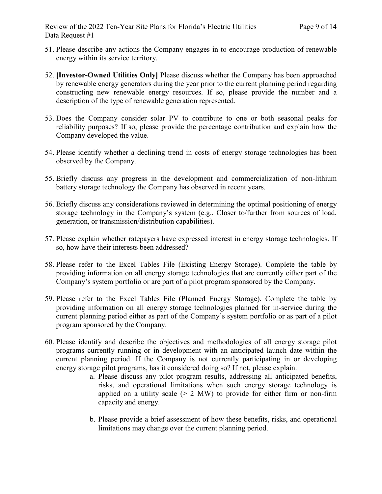- 51. Please describe any actions the Company engages in to encourage production of renewable energy within its service territory.
- 52. **[Investor-Owned Utilities Only]** Please discuss whether the Company has been approached by renewable energy generators during the year prior to the current planning period regarding constructing new renewable energy resources. If so, please provide the number and a description of the type of renewable generation represented.
- 53. Does the Company consider solar PV to contribute to one or both seasonal peaks for reliability purposes? If so, please provide the percentage contribution and explain how the Company developed the value.
- 54. Please identify whether a declining trend in costs of energy storage technologies has been observed by the Company.
- 55. Briefly discuss any progress in the development and commercialization of non-lithium battery storage technology the Company has observed in recent years.
- 56. Briefly discuss any considerations reviewed in determining the optimal positioning of energy storage technology in the Company's system (e.g., Closer to/further from sources of load, generation, or transmission/distribution capabilities).
- 57. Please explain whether ratepayers have expressed interest in energy storage technologies. If so, how have their interests been addressed?
- 58. Please refer to the Excel Tables File (Existing Energy Storage). Complete the table by providing information on all energy storage technologies that are currently either part of the Company's system portfolio or are part of a pilot program sponsored by the Company.
- 59. Please refer to the Excel Tables File (Planned Energy Storage). Complete the table by providing information on all energy storage technologies planned for in-service during the current planning period either as part of the Company's system portfolio or as part of a pilot program sponsored by the Company.
- 60. Please identify and describe the objectives and methodologies of all energy storage pilot programs currently running or in development with an anticipated launch date within the current planning period. If the Company is not currently participating in or developing energy storage pilot programs, has it considered doing so? If not, please explain.
	- a. Please discuss any pilot program results, addressing all anticipated benefits, risks, and operational limitations when such energy storage technology is applied on a utility scale  $(> 2$  MW) to provide for either firm or non-firm capacity and energy.
	- b. Please provide a brief assessment of how these benefits, risks, and operational limitations may change over the current planning period.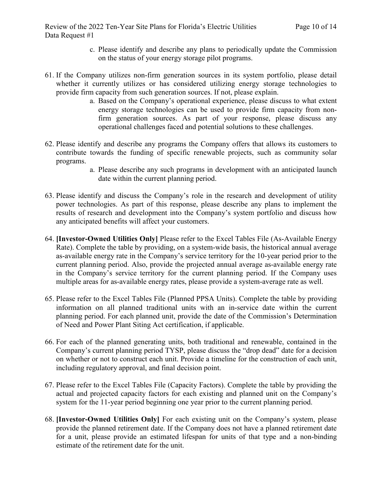Review of the 2022 Ten-Year Site Plans for Florida's Electric Utilities Page 10 of 14 Data Request #1

- c. Please identify and describe any plans to periodically update the Commission on the status of your energy storage pilot programs.
- 61. If the Company utilizes non-firm generation sources in its system portfolio, please detail whether it currently utilizes or has considered utilizing energy storage technologies to provide firm capacity from such generation sources. If not, please explain.
	- a. Based on the Company's operational experience, please discuss to what extent energy storage technologies can be used to provide firm capacity from nonfirm generation sources. As part of your response, please discuss any operational challenges faced and potential solutions to these challenges.
- 62. Please identify and describe any programs the Company offers that allows its customers to contribute towards the funding of specific renewable projects, such as community solar programs.
	- a. Please describe any such programs in development with an anticipated launch date within the current planning period.
- 63. Please identify and discuss the Company's role in the research and development of utility power technologies. As part of this response, please describe any plans to implement the results of research and development into the Company's system portfolio and discuss how any anticipated benefits will affect your customers.
- 64. **[Investor-Owned Utilities Only]** Please refer to the Excel Tables File (As-Available Energy Rate). Complete the table by providing, on a system-wide basis, the historical annual average as-available energy rate in the Company's service territory for the 10-year period prior to the current planning period. Also, provide the projected annual average as-available energy rate in the Company's service territory for the current planning period. If the Company uses multiple areas for as-available energy rates, please provide a system-average rate as well.
- 65. Please refer to the Excel Tables File (Planned PPSA Units). Complete the table by providing information on all planned traditional units with an in-service date within the current planning period. For each planned unit, provide the date of the Commission's Determination of Need and Power Plant Siting Act certification, if applicable.
- 66. For each of the planned generating units, both traditional and renewable, contained in the Company's current planning period TYSP, please discuss the "drop dead" date for a decision on whether or not to construct each unit. Provide a timeline for the construction of each unit, including regulatory approval, and final decision point.
- 67. Please refer to the Excel Tables File (Capacity Factors). Complete the table by providing the actual and projected capacity factors for each existing and planned unit on the Company's system for the 11-year period beginning one year prior to the current planning period.
- 68. **[Investor-Owned Utilities Only]** For each existing unit on the Company's system, please provide the planned retirement date. If the Company does not have a planned retirement date for a unit, please provide an estimated lifespan for units of that type and a non-binding estimate of the retirement date for the unit.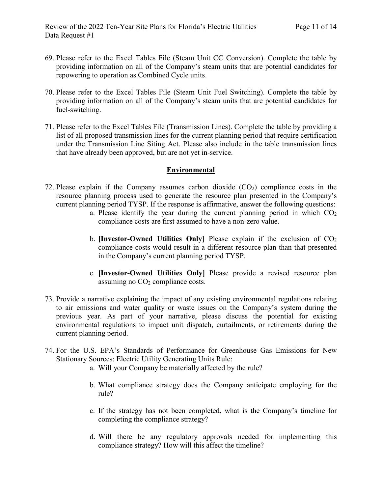- 69. Please refer to the Excel Tables File (Steam Unit CC Conversion). Complete the table by providing information on all of the Company's steam units that are potential candidates for repowering to operation as Combined Cycle units.
- 70. Please refer to the Excel Tables File (Steam Unit Fuel Switching). Complete the table by providing information on all of the Company's steam units that are potential candidates for fuel-switching.
- 71. Please refer to the Excel Tables File (Transmission Lines). Complete the table by providing a list of all proposed transmission lines for the current planning period that require certification under the Transmission Line Siting Act. Please also include in the table transmission lines that have already been approved, but are not yet in-service.

#### **Environmental**

- 72. Please explain if the Company assumes carbon dioxide  $(CO<sub>2</sub>)$  compliance costs in the resource planning process used to generate the resource plan presented in the Company's current planning period TYSP. If the response is affirmative, answer the following questions:
	- a. Please identify the year during the current planning period in which  $CO<sub>2</sub>$ compliance costs are first assumed to have a non-zero value.
	- b. **[Investor-Owned Utilities Only]** Please explain if the exclusion of  $CO<sub>2</sub>$ compliance costs would result in a different resource plan than that presented in the Company's current planning period TYSP.
	- c. **[Investor-Owned Utilities Only]** Please provide a revised resource plan assuming no CO<sub>2</sub> compliance costs.
- 73. Provide a narrative explaining the impact of any existing environmental regulations relating to air emissions and water quality or waste issues on the Company's system during the previous year. As part of your narrative, please discuss the potential for existing environmental regulations to impact unit dispatch, curtailments, or retirements during the current planning period.
- 74. For the U.S. EPA's Standards of Performance for Greenhouse Gas Emissions for New Stationary Sources: Electric Utility Generating Units Rule:
	- a. Will your Company be materially affected by the rule?
	- b. What compliance strategy does the Company anticipate employing for the rule?
	- c. If the strategy has not been completed, what is the Company's timeline for completing the compliance strategy?
	- d. Will there be any regulatory approvals needed for implementing this compliance strategy? How will this affect the timeline?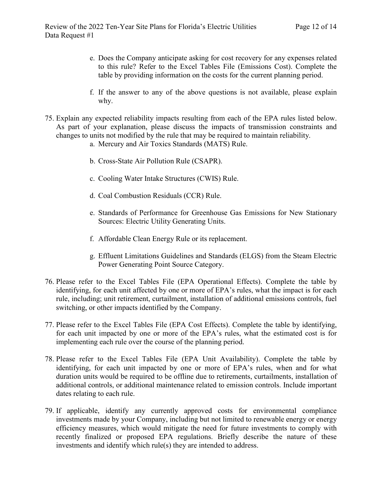- e. Does the Company anticipate asking for cost recovery for any expenses related to this rule? Refer to the Excel Tables File (Emissions Cost). Complete the table by providing information on the costs for the current planning period.
- f. If the answer to any of the above questions is not available, please explain why.
- 75. Explain any expected reliability impacts resulting from each of the EPA rules listed below. As part of your explanation, please discuss the impacts of transmission constraints and changes to units not modified by the rule that may be required to maintain reliability.
	- a. Mercury and Air Toxics Standards (MATS) Rule.
	- b. Cross-State Air Pollution Rule (CSAPR).
	- c. Cooling Water Intake Structures (CWIS) Rule.
	- d. Coal Combustion Residuals (CCR) Rule.
	- e. Standards of Performance for Greenhouse Gas Emissions for New Stationary Sources: Electric Utility Generating Units.
	- f. Affordable Clean Energy Rule or its replacement.
	- g. Effluent Limitations Guidelines and Standards (ELGS) from the Steam Electric Power Generating Point Source Category.
- 76. Please refer to the Excel Tables File (EPA Operational Effects). Complete the table by identifying, for each unit affected by one or more of EPA's rules, what the impact is for each rule, including; unit retirement, curtailment, installation of additional emissions controls, fuel switching, or other impacts identified by the Company.
- 77. Please refer to the Excel Tables File (EPA Cost Effects). Complete the table by identifying, for each unit impacted by one or more of the EPA's rules, what the estimated cost is for implementing each rule over the course of the planning period.
- 78. Please refer to the Excel Tables File (EPA Unit Availability). Complete the table by identifying, for each unit impacted by one or more of EPA's rules, when and for what duration units would be required to be offline due to retirements, curtailments, installation of additional controls, or additional maintenance related to emission controls. Include important dates relating to each rule.
- 79. If applicable, identify any currently approved costs for environmental compliance investments made by your Company, including but not limited to renewable energy or energy efficiency measures, which would mitigate the need for future investments to comply with recently finalized or proposed EPA regulations. Briefly describe the nature of these investments and identify which rule(s) they are intended to address.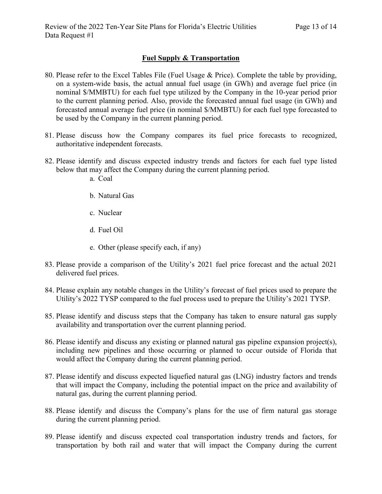### **Fuel Supply & Transportation**

- 80. Please refer to the Excel Tables File (Fuel Usage & Price). Complete the table by providing, on a system-wide basis, the actual annual fuel usage (in GWh) and average fuel price (in nominal \$/MMBTU) for each fuel type utilized by the Company in the 10-year period prior to the current planning period. Also, provide the forecasted annual fuel usage (in GWh) and forecasted annual average fuel price (in nominal \$/MMBTU) for each fuel type forecasted to be used by the Company in the current planning period.
- 81. Please discuss how the Company compares its fuel price forecasts to recognized, authoritative independent forecasts.
- 82. Please identify and discuss expected industry trends and factors for each fuel type listed below that may affect the Company during the current planning period.
	- a. Coal
	- b. Natural Gas
	- c. Nuclear
	- d. Fuel Oil
	- e. Other (please specify each, if any)
- 83. Please provide a comparison of the Utility's 2021 fuel price forecast and the actual 2021 delivered fuel prices.
- 84. Please explain any notable changes in the Utility's forecast of fuel prices used to prepare the Utility's 2022 TYSP compared to the fuel process used to prepare the Utility's 2021 TYSP.
- 85. Please identify and discuss steps that the Company has taken to ensure natural gas supply availability and transportation over the current planning period.
- 86. Please identify and discuss any existing or planned natural gas pipeline expansion project(s), including new pipelines and those occurring or planned to occur outside of Florida that would affect the Company during the current planning period.
- 87. Please identify and discuss expected liquefied natural gas (LNG) industry factors and trends that will impact the Company, including the potential impact on the price and availability of natural gas, during the current planning period.
- 88. Please identify and discuss the Company's plans for the use of firm natural gas storage during the current planning period.
- 89. Please identify and discuss expected coal transportation industry trends and factors, for transportation by both rail and water that will impact the Company during the current